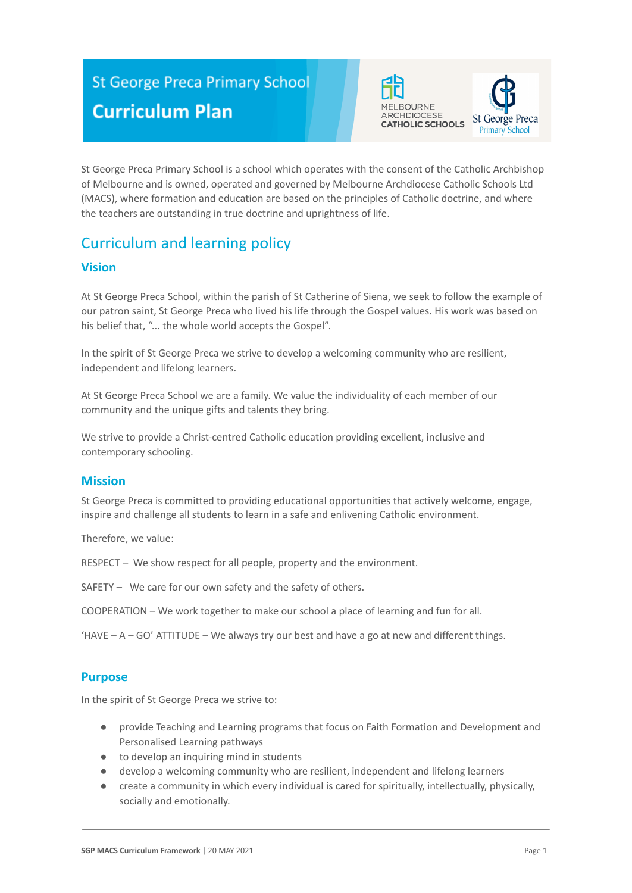# **St George Preca Primary School Curriculum Plan**





St George Preca Primary School is a school which operates with the consent of the Catholic Archbishop of Melbourne and is owned, operated and governed by Melbourne Archdiocese Catholic Schools Ltd (MACS), where formation and education are based on the principles of Catholic doctrine, and where the teachers are outstanding in true doctrine and uprightness of life.

# Curriculum and learning policy

## **Vision**

At St George Preca School, within the parish of St Catherine of Siena, we seek to follow the example of our patron saint, St George Preca who lived his life through the Gospel values. His work was based on his belief that, "... the whole world accepts the Gospel".

In the spirit of St George Preca we strive to develop a welcoming community who are resilient, independent and lifelong learners.

At St George Preca School we are a family. We value the individuality of each member of our community and the unique gifts and talents they bring.

We strive to provide a Christ-centred Catholic education providing excellent, inclusive and contemporary schooling.

## **Mission**

St George Preca is committed to providing educational opportunities that actively welcome, engage, inspire and challenge all students to learn in a safe and enlivening Catholic environment.

Therefore, we value:

RESPECT – We show respect for all people, property and the environment.

SAFETY – We care for our own safety and the safety of others.

COOPERATION – We work together to make our school a place of learning and fun for all.

 $HAVE - A - GO' ATITUDE - We always try our best and have a go at new and different things.$ 

## **Purpose**

In the spirit of St George Preca we strive to:

- provide Teaching and Learning programs that focus on Faith Formation and Development and Personalised Learning pathways
- to develop an inquiring mind in students
- develop a welcoming community who are resilient, independent and lifelong learners
- create a community in which every individual is cared for spiritually, intellectually, physically, socially and emotionally.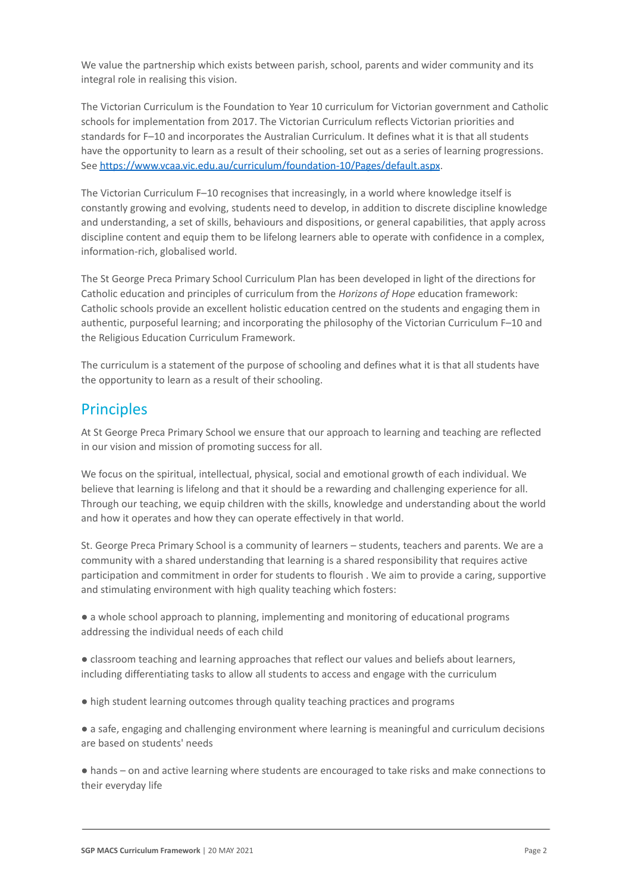We value the partnership which exists between parish, school, parents and wider community and its integral role in realising this vision.

The Victorian Curriculum is the Foundation to Year 10 curriculum for Victorian government and Catholic schools for implementation from 2017. The Victorian Curriculum reflects Victorian priorities and standards for F–10 and incorporates the Australian Curriculum. It defines what it is that all students have the opportunity to learn as a result of their schooling, set out as a series of learning progressions. See <https://www.vcaa.vic.edu.au/curriculum/foundation-10/Pages/default.aspx>.

The Victorian Curriculum F–10 recognises that increasingly, in a world where knowledge itself is constantly growing and evolving, students need to develop, in addition to discrete discipline knowledge and understanding, a set of skills, behaviours and dispositions, or general capabilities, that apply across discipline content and equip them to be lifelong learners able to operate with confidence in a complex, information-rich, globalised world.

The St George Preca Primary School Curriculum Plan has been developed in light of the directions for Catholic education and principles of curriculum from the *Horizons of Hope* education framework: Catholic schools provide an excellent holistic education centred on the students and engaging them in authentic, purposeful learning; and incorporating the philosophy of the Victorian Curriculum F–10 and the Religious Education Curriculum Framework.

The curriculum is a statement of the purpose of schooling and defines what it is that all students have the opportunity to learn as a result of their schooling.

# **Principles**

At St George Preca Primary School we ensure that our approach to learning and teaching are reflected in our vision and mission of promoting success for all.

We focus on the spiritual, intellectual, physical, social and emotional growth of each individual. We believe that learning is lifelong and that it should be a rewarding and challenging experience for all. Through our teaching, we equip children with the skills, knowledge and understanding about the world and how it operates and how they can operate effectively in that world.

St. George Preca Primary School is a community of learners – students, teachers and parents. We are a community with a shared understanding that learning is a shared responsibility that requires active participation and commitment in order for students to flourish . We aim to provide a caring, supportive and stimulating environment with high quality teaching which fosters:

● a whole school approach to planning, implementing and monitoring of educational programs addressing the individual needs of each child

● classroom teaching and learning approaches that reflect our values and beliefs about learners, including differentiating tasks to allow all students to access and engage with the curriculum

● high student learning outcomes through quality teaching practices and programs

● a safe, engaging and challenging environment where learning is meaningful and curriculum decisions are based on students' needs

● hands – on and active learning where students are encouraged to take risks and make connections to their everyday life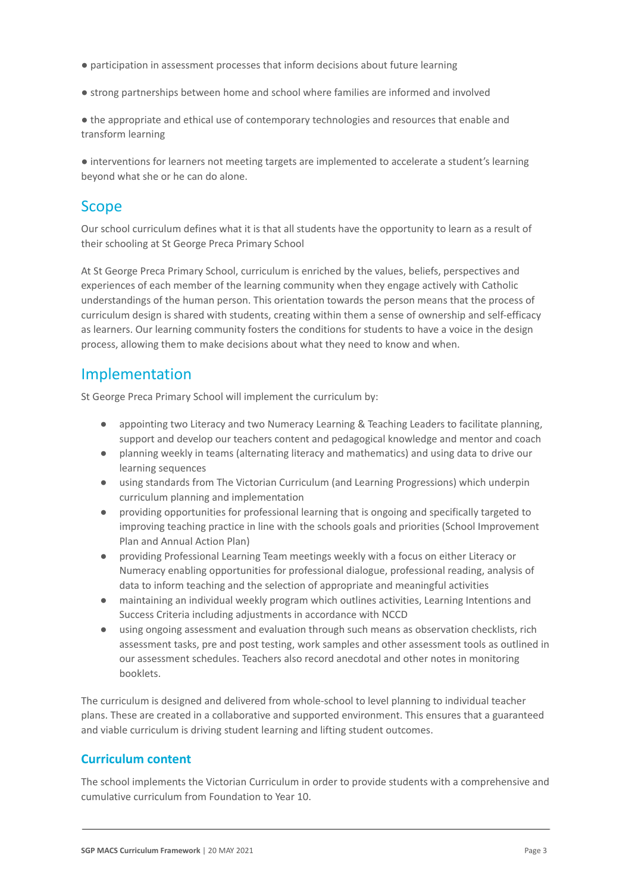- participation in assessment processes that inform decisions about future learning
- strong partnerships between home and school where families are informed and involved

● the appropriate and ethical use of contemporary technologies and resources that enable and transform learning

● interventions for learners not meeting targets are implemented to accelerate a student's learning beyond what she or he can do alone.

# Scope

Our school curriculum defines what it is that all students have the opportunity to learn as a result of their schooling at St George Preca Primary School

At St George Preca Primary School, curriculum is enriched by the values, beliefs, perspectives and experiences of each member of the learning community when they engage actively with Catholic understandings of the human person. This orientation towards the person means that the process of curriculum design is shared with students, creating within them a sense of ownership and self-efficacy as learners. Our learning community fosters the conditions for students to have a voice in the design process, allowing them to make decisions about what they need to know and when.

## Implementation

St George Preca Primary School will implement the curriculum by:

- appointing two Literacy and two Numeracy Learning & Teaching Leaders to facilitate planning, support and develop our teachers content and pedagogical knowledge and mentor and coach
- planning weekly in teams (alternating literacy and mathematics) and using data to drive our learning sequences
- using standards from The Victorian Curriculum (and Learning Progressions) which underpin curriculum planning and implementation
- providing opportunities for professional learning that is ongoing and specifically targeted to improving teaching practice in line with the schools goals and priorities (School Improvement Plan and Annual Action Plan)
- providing Professional Learning Team meetings weekly with a focus on either Literacy or Numeracy enabling opportunities for professional dialogue, professional reading, analysis of data to inform teaching and the selection of appropriate and meaningful activities
- maintaining an individual weekly program which outlines activities, Learning Intentions and Success Criteria including adjustments in accordance with NCCD
- using ongoing assessment and evaluation through such means as observation checklists, rich assessment tasks, pre and post testing, work samples and other assessment tools as outlined in our assessment schedules. Teachers also record anecdotal and other notes in monitoring booklets.

The curriculum is designed and delivered from whole-school to level planning to individual teacher plans. These are created in a collaborative and supported environment. This ensures that a guaranteed and viable curriculum is driving student learning and lifting student outcomes.

## **Curriculum content**

The school implements the Victorian Curriculum in order to provide students with a comprehensive and cumulative curriculum from Foundation to Year 10.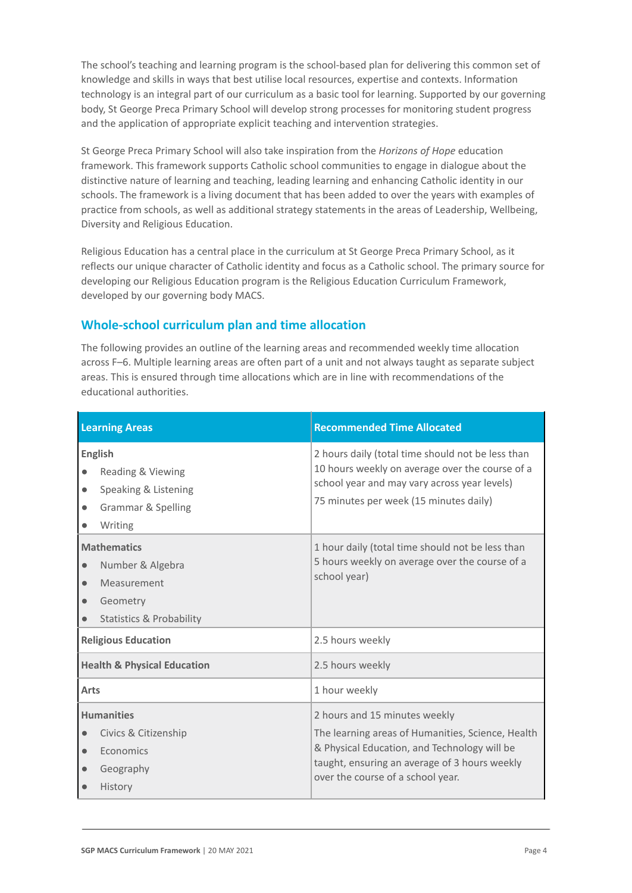The school's teaching and learning program is the school-based plan for delivering this common set of knowledge and skills in ways that best utilise local resources, expertise and contexts. Information technology is an integral part of our curriculum as a basic tool for learning. Supported by our governing body, St George Preca Primary School will develop strong processes for monitoring student progress and the application of appropriate explicit teaching and intervention strategies.

St George Preca Primary School will also take inspiration from the *Horizons of Hope* education framework. This framework supports Catholic school communities to engage in dialogue about the distinctive nature of learning and teaching, leading learning and enhancing Catholic identity in our schools. The framework is a living document that has been added to over the years with examples of practice from schools, as well as additional strategy statements in the areas of Leadership, Wellbeing, Diversity and Religious Education.

Religious Education has a central place in the curriculum at St George Preca Primary School, as it reflects our unique character of Catholic identity and focus as a Catholic school. The primary source for developing our Religious Education program is the Religious Education Curriculum Framework, developed by our governing body MACS.

## **Whole-school curriculum plan and time allocation**

The following provides an outline of the learning areas and recommended weekly time allocation across F–6. Multiple learning areas are often part of a unit and not always taught as separate subject areas. This is ensured through time allocations which are in line with recommendations of the educational authorities.

| <b>Learning Areas</b>                                                                                                                           | <b>Recommended Time Allocated</b>                                                                                                                                                                                        |
|-------------------------------------------------------------------------------------------------------------------------------------------------|--------------------------------------------------------------------------------------------------------------------------------------------------------------------------------------------------------------------------|
| <b>English</b><br>Reading & Viewing<br>Speaking & Listening<br>$\bullet$<br><b>Grammar &amp; Spelling</b><br>Writing                            | 2 hours daily (total time should not be less than<br>10 hours weekly on average over the course of a<br>school year and may vary across year levels)<br>75 minutes per week (15 minutes daily)                           |
| <b>Mathematics</b><br>Number & Algebra<br>$\bullet$<br>Measurement<br>$\bullet$<br>Geometry<br>$\bullet$<br><b>Statistics &amp; Probability</b> | 1 hour daily (total time should not be less than<br>5 hours weekly on average over the course of a<br>school year)                                                                                                       |
| <b>Religious Education</b>                                                                                                                      | 2.5 hours weekly                                                                                                                                                                                                         |
| <b>Health &amp; Physical Education</b>                                                                                                          | 2.5 hours weekly                                                                                                                                                                                                         |
| Arts                                                                                                                                            | 1 hour weekly                                                                                                                                                                                                            |
| <b>Humanities</b><br>Civics & Citizenship<br>Economics<br>$\bullet$<br>Geography<br><b>History</b>                                              | 2 hours and 15 minutes weekly<br>The learning areas of Humanities, Science, Health<br>& Physical Education, and Technology will be<br>taught, ensuring an average of 3 hours weekly<br>over the course of a school year. |